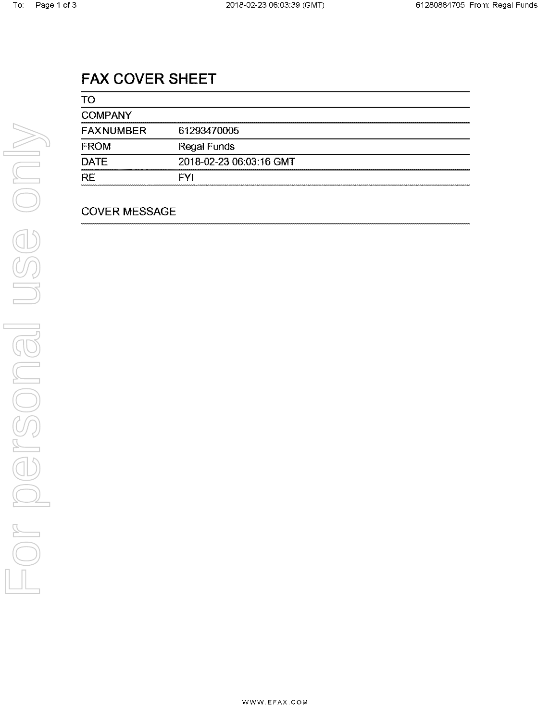# FAX COVER SHEET

| TO               |                         |
|------------------|-------------------------|
| <b>COMPANY</b>   |                         |
| <b>FAXNUMBER</b> | 61293470005             |
| <b>FROM</b>      | <b>Regal Funds</b>      |
| <b>DATE</b>      | 2018-02-23 06:03:16 GMT |
| <b>RE</b>        | FYI                     |

### COVER MESSAGE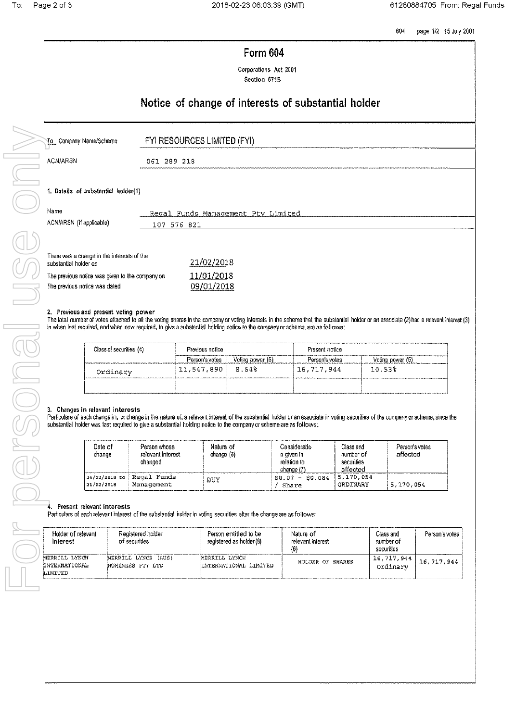604 page 1/2 15 July 2001

| <b>Form 604</b> |  |
|-----------------|--|
|-----------------|--|

Corporations Act 2001 Section 671B

## Notice of change of interests of substantial holder

| To Company Name/Scheme                                                                                                                                  | FYI RESOURCES LIMITED (FYI)                       |
|---------------------------------------------------------------------------------------------------------------------------------------------------------|---------------------------------------------------|
| <b>ACN/ARSN</b>                                                                                                                                         | 061 289 218                                       |
| 1. Details of substantial holder(1)<br>Name<br>ACN/ARSN (if applicable)                                                                                 | Regal Funds Management Pty Limited<br>107 576 821 |
| There was a change in the interests of the<br>substantial holder on<br>The previous notice was given to the company on<br>The previous notice was dated | 21/02/2018<br>11/01/2018<br>09/01/2018            |

#### 2. Previous and present voting power

The total number of votes attached to all the voting shares in the company or voting interests in the soheme that the substantial holder or an associate (2) had a relevant interest (3) in when last required, and when now required, to give a substantial holding notice to the company or scheme, are as follows:

| Class of securities (4) | Previous notice |                  | ويعيدون ومراجع والمراجي والمتوارث والمتواطئ الواطئ والمتعدار مواليا والمراجح والمتعارض والمتحدث والمتحولية والمتوارث والمراجح والمحارب والمتحدث<br>Fresent notice |                  |
|-------------------------|-----------------|------------------|-------------------------------------------------------------------------------------------------------------------------------------------------------------------|------------------|
|                         | Person's votes  | Voting power (5) | Person's votes                                                                                                                                                    | Voting power (5) |
| Ordinary                | 11,547,890      | 8.64%            | 16,717,944                                                                                                                                                        | $10.53\%$        |
|                         |                 |                  |                                                                                                                                                                   |                  |

#### 3. Changes in relevant interests

Particulars of each change in, or change in the nature of, a relevant interest of the substantial holder or an associate in voting securities of the company or scheme, since the substantial holder was last required to give a substantial holding notice to the company or scheme are as follows:

| Date of<br>change           | Person whose<br>relevant interest<br>changed | Nature of<br>chance $(6)$ | Consideratio<br>n given in<br>relation to<br>change (7 | Class and<br>number of<br>securities<br>affected | Person's votes<br>affected |
|-----------------------------|----------------------------------------------|---------------------------|--------------------------------------------------------|--------------------------------------------------|----------------------------|
| 14/02/2018 to<br>21/02/2018 | Regal Funds<br>Management                    | BUY                       | $-50.084$<br>SO 07<br>Share                            | 5.170,054<br>ORDINARY                            | 5,170,054<br>.             |

#### 4. Present relevant interests

Particulars of each relevant interest of the substantial holder in voting securities after the change are as follows:

| Holder of relevant<br>interest            | Registered holder<br>of securities      | Person entitled to be<br>registered as holder (8) | Nature of<br>relevant interest<br>(6) | Class and<br>number of<br>securities | Person's votes |
|-------------------------------------------|-----------------------------------------|---------------------------------------------------|---------------------------------------|--------------------------------------|----------------|
| MERRILL LYNCH<br>INTERNATIONAL<br>LIMYTED | MERRILL LYNCH (AUS)<br>NOMINEES PTY LTD | MERRILL LYNCH<br>INTERNATIONAL LIMITED            | HOLDER OF SHARES                      | \ 16,717,944  <br>Ordinary           | 16, 717, 944   |